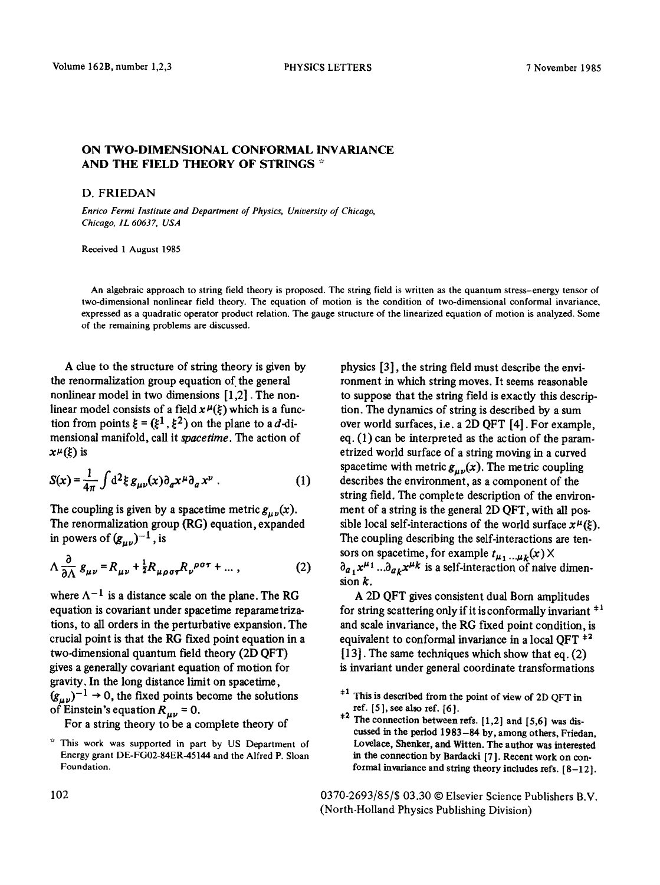## ON TWO-DIMENSIONAL CONFORMAL INVARIANCE AND THE FIELD THEORY OF STRINGS  $*$

## D. FRIEDAN

*Enrico Fermi Institute and Department of Physics, University of Chicago, Chicago, IL 60637, USA* 

Received 1 August 1985

An algebraic approach to string field theory is proposed. The string field is written as the quantum stress-energy tensor of two-dimensional nonlinear field theory. The equation of motion is the condition of two-dimensional conformal invariance, expressed as a quadratic operator product relation. The gauge structure of the linearized equation of motion is analyzed. Some of the remaining problems are discussed.

A clue to the structure of string theory is given by the renormalization group equation of the general nonlinear model in two dimensions [1,2]. The nonlinear model consists of a field  $x^{\mu}(\xi)$  which is a function from points  $\xi = (\xi^1, \xi^2)$  on the plane to a d-dimensional manifold, call it *spacetime. The* action of  $x^{\mu}(\xi)$  is

$$
S(x) = \frac{1}{4\pi} \int d^2 \xi \, g_{\mu\nu}(x) \partial_\alpha x^\mu \partial_\alpha x^\nu \,. \tag{1}
$$

The coupling is given by a spacetime metric  $g_{\mu\nu}(x)$ . The renormalization group (RG) equation, expanded in powers of  $(g_{\mu\nu})^{-1}$ , is

$$
\Lambda \frac{\partial}{\partial \Lambda} g_{\mu\nu} = R_{\mu\nu} + \frac{1}{2} R_{\mu\rho\sigma\tau} R_{\nu}{}^{\rho\sigma\tau} + \dots \,, \tag{2}
$$

where  $\Lambda^{-1}$  is a distance scale on the plane. The RG equation is covariant under spaeetime reparametrizations, to all orders in the perturbative expansion. The crucial point is that the RG fixed point equation in a two-dimensional quantum field theory (2D QFT) gives a generally covariant equation of motion for gravity, In the long distance limit on spacetime,  $(g_{\mu\nu})^{-1} \rightarrow 0$ , the fixed points become the solutions of Einstein's equation  $R_{\mu\nu} = 0$ .

For a string theory to be a complete theory of

physics [3], the string field must describe the environment in which string moves. It seems reasonable to suppose that the string field is exactly this description. The dynamics of string is described by a sum over world surfaces, i.e. a 2D QFT [4]. For example, eq. (1) can be interpreted as the action of the parametrized world surface of a string moving in a curved spacetime with metric  $g_{\mu\nu}(x)$ . The metric coupling describes the environment, as a component of the string field. The complete description of the environment of a string is the general 2D QFT, with all possible local self-interactions of the world surface  $x^{\mu}(\xi)$ . The coupling describing the self-interactions are tensors on spacetime, for example  $t_{\mu_1...\mu_k}(x)$   $\times$  $\partial_{a_1} x^{\mu_1} ... \partial_{a_k} x^{\mu_k}$  is a self-interaction of naive dimension k.

A 2D QFT gives consistent dual Born amplitudes for string scattering only if it is conformally invariant  $+1$ and scale invariance, the RG fixed point condition, is equivalent to conformal invariance in a local OFT  $+2$ [13]. The same techniques which show that eq. (2) is invariant under general coordinate transformations

- $*1$  This is described from the point of view of 2D QFT in ref. [51, see also ref. [6].
- <sup>\*\*</sup> The connection between refs.  $[1,2]$  and  $[5,6]$  was discussed in the period 1983-84 by, among others, Friedan, Lovelace, Shenker, and Witten. The author was interested in the connection by Bardacki [7]. Recent work on conformal invariance and string theory includes refs.  $[8-12]$ .

0370-2693/85/\$ 03.30 © Elsevier Science Publishers B.V. (North-Holland Physics Publishing Division)

This work was supported in part by US Department of Energy grant DE-FGO2-84ER-45144 and the Alfred P. Sloan Foundation.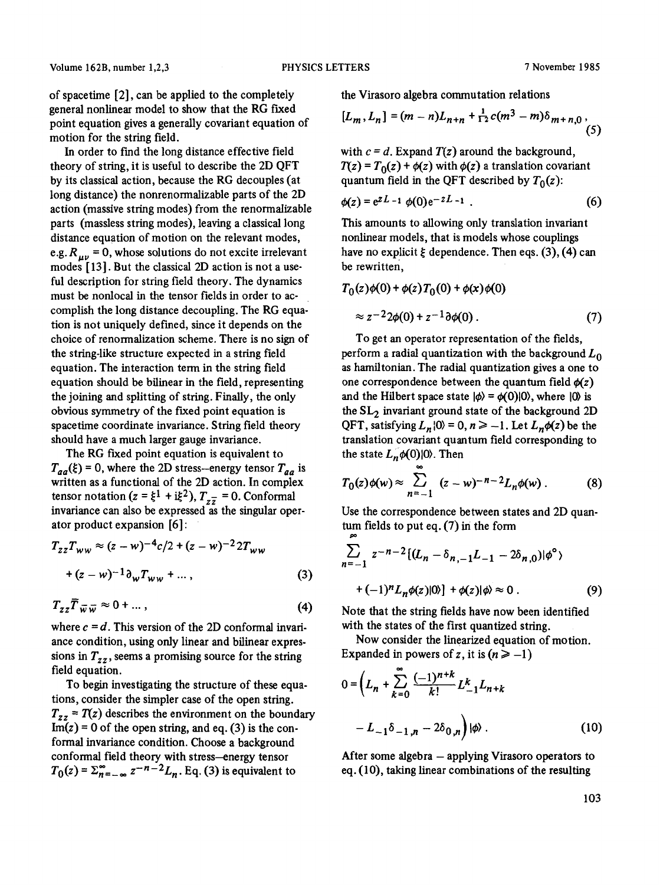of spacetirne [2], can be applied to the completely general nonlinear model to show that the RG fixed point equation gives a generally covariant equation of motion for the string field.

In order to find the long distance effective field theory of string, it is useful to describe the 2D QFT by its classical action, because the RG decouples (at long distance) the nonrenormalizable parts of the 2D action (massive string modes) from the renormalizable parts (massless string modes), leaving a classical long distance equation of motion on the relevant modes, e.g.  $R_{\mu\nu} = 0$ , whose solutions do not excite irrelevant modes [13]. But the classical 2D action is not a useful description for string field theory. The dynamics must be nonlocal in the tensor fields in order to accomplish the long distance decoupling. The RG equation is not uniquely defined, since it depends on the choice of renormalization scheme. There is no sign of the string-like structure expected in a string field equation. The interaction term in the string field equation should be bilinear in the field, representing the joining and splitting of string. Finally, the only obvious symmetry of the fixed point equation is spacetime coordinate invariance. String field theory should have a much larger gauge invariance.

The RG fixed point equation is equivalent to  $T_{aa}(\xi) = 0$ , where the 2D stress-energy tensor  $T_{aa}$  is written as a functional of the 2D action. In complex tensor notation ( $z = \xi^1 + i\xi^2$ ),  $T_{z\overline{z}} = 0$ . Conformal invariance can also be expressed as the singular operator product expansion [6]:

$$
T_{zz}T_{ww} \approx (z-w)^{-4}c/2 + (z-w)^{-2}2T_{ww} + (z-w)^{-1}\partial_w T_{ww} + \dots,
$$
 (3)

$$
T_{zz}\overline{T}_{\overline{w}\,\overline{w}} \approx 0 + \dots, \tag{4}
$$

where  $c = d$ . This version of the 2D conformal invariance condition, using only linear and bilinear expressions in  $T_{zz}$ , seems a promising source for the string field equation.

To begin investigating the structure of these equations, consider the simpler case of the open string.  $T_{zz} = T(z)$  describes the environment on the boundary  $Im(z) = 0$  of the open string, and eq. (3) is the conformal invariance condition. Choose a background conformal field theory with stress--energy tensor  $T_0(z) = \sum_{n=-\infty}^{\infty} z^{-n-2}L_n$ . Eq. (3) is equivalent to

the Virasoro algebra commutation relations

$$
[L_m, L_n] = (m - n)L_{n+n} + \frac{1}{12}c(m^3 - m)\delta_{m+n,0},
$$
\n(5)

with  $c = d$ . Expand  $T(z)$  around the background,  $T(z) = T_0(z) + \phi(z)$  with  $\phi(z)$  a translation covariant quantum field in the QFT described by  $T_0(z)$ :

$$
\phi(z) = e^{zL} - 1 \phi(0) e^{-zL} - 1 \tag{6}
$$

This amounts to allowing only translation invariant nonlinear models, that is models whose couplings have no explicit  $\xi$  dependence. Then eqs. (3), (4) can be rewritten,

$$
T_0(z)\phi(0) + \phi(z)T_0(0) + \phi(x)\phi(0)
$$
  
\n
$$
\approx z^{-2}2\phi(0) + z^{-1}\partial\phi(0).
$$
 (7)

To get an operator representation of the fields, perform a radial quantization with the background  $L_0$ as hamiltonian. The radial quantization gives a one to one correspondence between the quantum field  $\phi(z)$ and the Hilbert space state  $|\phi\rangle = \phi(0)|0\rangle$ , where  $|0\rangle$  is the  $SL<sub>2</sub>$  invariant ground state of the background 2D QFT, satisfying  $L_n |0\rangle = 0, n \ge -1$ . Let  $L_n \phi(z)$  be the translation covariant quantum field corresponding to the state  $L_n\phi(0)|0\rangle$ . Then

$$
T_0(z)\phi(w) \approx \sum_{n=-1}^{\infty} (z-w)^{-n-2}L_n\phi(w).
$$
 (8)

Use the correspondence between states and 2D quantum fields to put eq. (7) in the form

$$
\sum_{n=-1}^{\infty} z^{-n-2} \left[ (L_n - \delta_{n,-1} L_{-1} - 2\delta_{n,0}) | \phi^{\circ} \right]
$$
  
+  $(-1)^n L_n \phi(z) |0\rangle$  +  $\phi(z) | \phi \approx 0$ . (9)

Note that the string fields have now been identified with the states of the first quantized string.

Now consider the linearized equation of motion. Expanded in powers of z, it is  $(n \ge -1)$ 

$$
0 = \left( L_n + \sum_{k=0}^{\infty} \frac{(-1)^{n+k}}{k!} L_{-1}^k L_{n+k} \right)
$$

$$
- L_{-1} \delta_{-1,n} - 2 \delta_{0,n} \right) |\phi\rangle . \tag{10}
$$

After some algebra - applying Virasoro operators to eq. (10), taking linear combinations of the resulting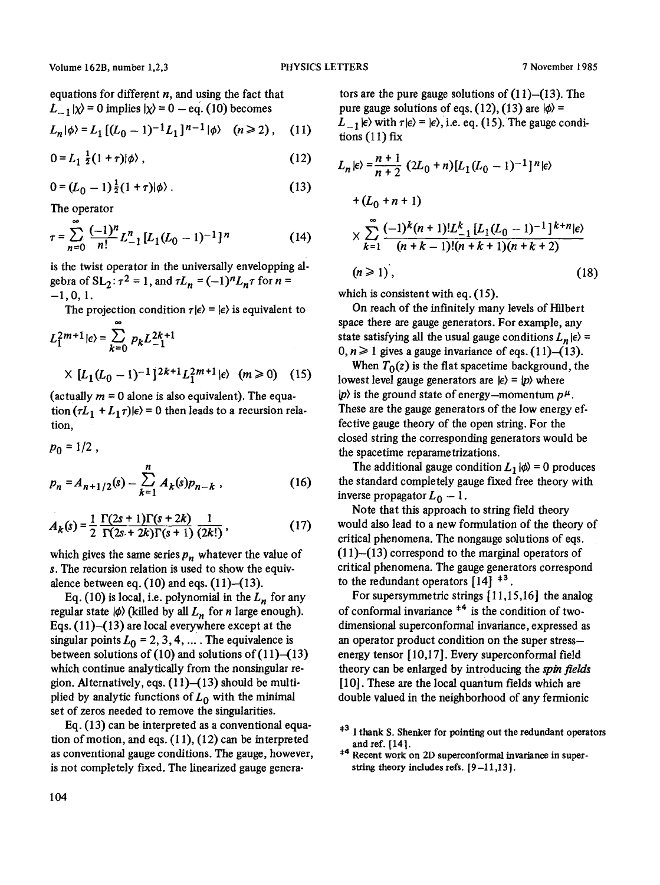equations for different *n,* and using the fact that  $L_{-1} |\chi\rangle = 0$  implies  $|\chi\rangle = 0 - \text{eq.}$  (10) becomes

$$
L_n|\phi\rangle = L_1\left[ (L_0 - 1)^{-1} L_1 \right]^{n-1} |\phi\rangle \quad (n \ge 2), \quad (11)
$$

$$
0 = L_1 \frac{1}{2} (1 + \tau) |\phi\rangle \,, \tag{12}
$$

$$
0 = (L_0 - 1) \frac{1}{2} (1 + \tau) | \phi \rangle . \tag{13}
$$

The operator

$$
\tau = \sum_{n=0}^{\infty} \frac{(-1)^n}{n!} L_{-1}^n [L_1 (L_0 - 1)^{-1}]^n \tag{14}
$$

is the twist operator in the universally envelopping algebra of  $SL_2$ :  $\tau^2 = 1$ , and  $\tau L_n = (-1)^n L_n \tau$  for  $n =$  $-1, 0, 1.$ 

The projection condition  $\tau | \epsilon \rangle = | \epsilon \rangle$  is equivalent to

$$
L_1^{2m+1} | \epsilon \rangle = \sum_{k=0}^{\infty} p_k L_{-1}^{2k+1}
$$
  
 
$$
\times [L_1(L_0 - 1)^{-1}]^{2k+1} L_1^{2m+1} | \epsilon \rangle \quad (m \ge 0) \quad (15)
$$

(actually  $m = 0$  alone is also equivalent). The equation  $(\tau L_1 + L_1 \tau)|\epsilon\rangle = 0$  then leads to a recursion relation,

$$
p_0 = 1/2 ,
$$
  
\n
$$
p_n = A_{n+1/2}(s) - \sum_{k=1}^n A_k(s) p_{n-k} ,
$$
 (16)

$$
A_k(s) = \frac{1}{2} \frac{\Gamma(2s+1)\Gamma(s+2k)}{\Gamma(2s+2k)\Gamma(s+1)} \frac{1}{(2k!)},
$$
 (17)

which gives the same series  $p_n$  whatever the value of s. The recursion relation is used to show the equivalence between eq.  $(10)$  and eqs.  $(11)$ – $(13)$ .

Eq. (10) is local, i.e. polynomial in the  $L_n$  for any regular state  $|\phi\rangle$  (killed by all  $L_n$  for *n* large enough). Eqs.  $(11)$ - $(13)$  are local everywhere except at the singular points  $L_0 = 2, 3, 4, ...$ . The equivalence is between solutions of  $(10)$  and solutions of  $(11)$ - $(13)$ which continue analytically from the nonsingular region. Alternatively, eqs.  $(11)$ - $(13)$  should be multiplied by analytic functions of  $L_0$  with the minimal set of zeros needed to remove the singularities.

Eq. (13) can be interpreted as a conventional equation of motion, and eqs. (11), (12) can be interpreted as conventional gauge conditions. The gauge, however, is not completely fixed. The linearized gauge genera-

tors are the pure gauge solutions of  $(11)$ - $(13)$ . The pure gauge solutions of eqs. (12), (13) are  $|\phi\rangle$  =  $L_{-1}$   $\ket{\epsilon}$  with  $\tau \ket{\epsilon} = \ket{\epsilon}$ , i.e. eq. (15). The gauge conditions  $(11)$  fix

$$
L_n|\epsilon\rangle = \frac{n+1}{n+2} (2L_0 + n)[L_1(L_0 - 1)^{-1}]^n |\epsilon\rangle
$$
  
+  $(L_0 + n + 1)$   
 $\times \sum_{k=1}^{\infty} \frac{(-1)^k (n+1)! L_{-1}^k [L_1(L_0 - 1)^{-1}]^{k+n} |\epsilon\rangle}{(n+k-1)!(n+k+1)(n+k+2)}$   
( $n \ge 1$ ), (18)

which is consistent with eq.  $(15)$ .

On reach of the infinitely many levels of Hilbert space there are gauge generators. For example, any state satisfying all the usual gauge conditions  $L_n|\epsilon\rangle =$  $0, n \ge 1$  gives a gauge invariance of eqs. (11)-(13).

When  $T_0(z)$  is the flat spacetime background, the lowest level gauge generators are  $|e\rangle = |p\rangle$  where  $|p\rangle$  is the ground state of energy-momentum  $p^{\mu}$ . These are the gauge generators of the low energy effective gauge theory of the open string. For the closed string the corresponding generators would be the spacetime reparametrizations.

The additional gauge condition  $L_1 |\phi\rangle = 0$  produces the standard completely gauge fixed free theory with inverse propagator  $L_0 - 1$ .

Note that this approach to string field theory would also lead to a new formulation of the theory of critical phenomena. The nongauge solutions of eqs. (11)-(13) correspond to the marginal operators of critical phenomena. The gauge generators correspond to the redundant operators  $[14]$ <sup> $\pm 3$ </sup>.

For supersymmetric strings [11,15,16] the analog of conformal invariance  $+4$  is the condition of twodimensional superconformal invariance, expressed as an operator product condition on the super stressenergy tensor [10,17]. Every superconformal field theory can be enlarged by introducing the *spin fields*  [10]. These are the local quantum fields which are double valued in the neighborhood of any fermionic

 $*$ <sup>3</sup> I thank S. Shenker for pointing out the redundant operators and ref. [141.

<sup>&</sup>lt;sup>+4</sup> Recent work on 2D superconformal invariance in superstring theory includes refs. [9-11,13].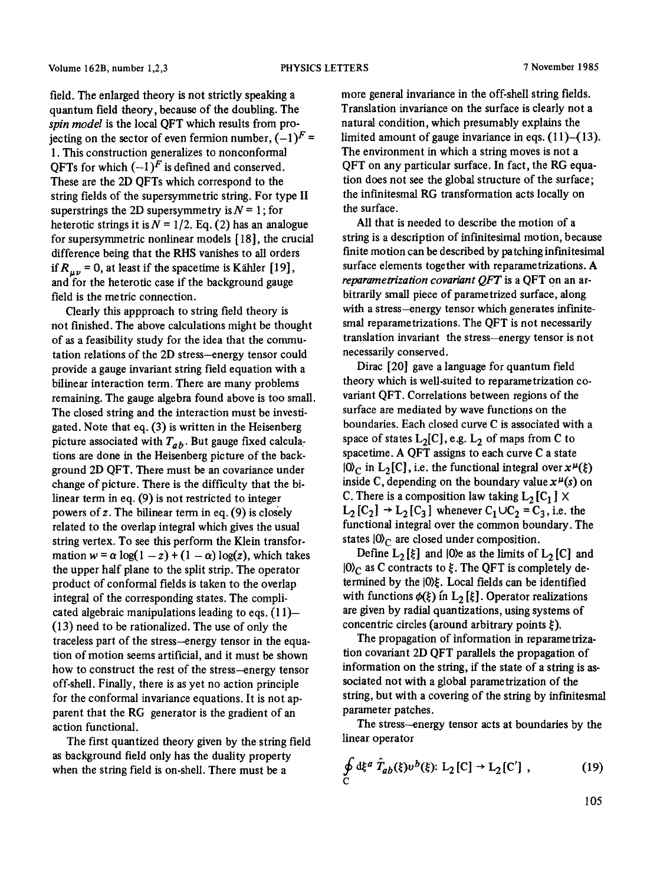field. The enlarged theory is not strictly speaking a quantum field theory, because of the doubling. The *spin model* is the local QFT which results from projecting on the sector of even fermion number,  $(-1)^F$  = 1. This construction generalizes to nonconformal QFTs for which  $(-1)^F$  is defined and conserved. These are the 2D QFTs which correspond to the string fields of the supersymmetric string. For type II superstrings the 2D supersymmetry is  $N = 1$ ; for heterotic strings it is  $N = 1/2$ . Eq. (2) has an analogue for supersymmetric nonlinear models [ 18], the crucial difference being that the RHS vanishes to all orders if  $R_{\mu\nu}$  = 0, at least if the spacetime is Kähler [19], and for the heterotic case if the background gauge field is the metric connection.

Clearly this appproach to string field theory is not finished. The above calculations might be thought of as a feasibility study for the idea that the commutation relations of the 2D stress-energy tensor could provide a gauge invariant string field equation with a bilinear interaction term. There are many problems remaining. The gauge algebra found above is too small. The closed string and the interaction must be investigated. Note that eq. (3) is written in the Heisenberg picture associated with  $T_{ab}$ . But gauge fixed calculations are done in the Heisenberg picture of the background 2D QFT. There must be an covariance under change of picture. There is the difficulty that the bilinear term in eq. (9) is not restricted to integer powers of  $z$ . The bilinear term in eq. (9) is closely related to the overlap integral which gives the usual string vertex. To see this perform the Klein transformation  $w = \alpha \log(1 - z) + (1 - \alpha) \log(z)$ , which takes the upper half plane to the split strip. The operator product of conformal fields is taken to the overlap integral of the corresponding states. The complicated algebraic manipulations leading to eqs.  $(11)$ -(13) need to be rationalized. The use of only the traceless part of the stress--energy tensor in the equation of motion seems artificial, and it must be shown how to construct the rest of the stress--energy tensor off-shell. Finally, there is as yet no action principle for the conformal invariance equations. It is not apparent that the RG generator is the gradient of an action functional.

The first quantized theory given by the string field as background field only has the duality property when the string field is on-shell. There must be a

more general invariance in the off-shell string fields. Translation invariance on the surface is clearly not a natural condition, which presumably explains the limited amount of gauge invariance in eqs.  $(11)$ – $(13)$ . The environment in which a string moves is not a QFT on any particular surface. In fact, the RG equation does not see the global structure of the surface; the infinitesmal RG transformation acts locally on the surface.

All that is needed to describe the motion of a string is a description of infinitesimal motion, because finite motion can be described by patching infmitesimal surface elements together with reparametrizations. A *reparametrization covariant QFT* is a QFT on an arbitrarily small piece of parametrized surface, along with a stress-energy tensor which generates infinitesmal reparametrizations. The QFT is not necessarily translation invariant the stress-energy tensor is not necessarily conserved.

Dirac [20] gave a language for quantum field theory which is well-suited to reparametrization covariant QFT. Correlations between regions of the surface are mediated by wave functions on the boundaries. Each closed curve C is associated with a space of states  $L_2[C]$ , e.g.  $L_2$  of maps from C to spacetime. A QFT assigns to each curve C a state  $10\degree$  in L<sub>2</sub>[C], i.e. the functional integral over  $x^{\mu}(\xi)$ inside C, depending on the boundary value  $x^{\mu}(s)$  on C. There is a composition law taking  $L_2[C_1] \times$  $L_2$  [C<sub>2</sub>]  $\rightarrow$  L<sub>2</sub>[C<sub>3</sub>] whenever C<sub>1</sub> ∪C<sub>2</sub> = C<sub>3</sub>, i.e. the functional integral over the common boundary. The states  $|0\rangle$ <sub>C</sub> are closed under composition.

Define  $L_2[\xi]$  and  $|0\rangle$ e as the limits of  $L_2[C]$  and  $10<sub>C</sub>$  as C contracts to  $\xi$ . The QFT is completely determined by the  $|0\rangle \xi$ . Local fields can be identified with functions  $\phi(\xi)$  in L<sub>2</sub> [ $\xi$ ]. Operator realizations are given by radial quantizations, using systems of concentric circles (around arbitrary points  $\xi$ ).

The propagation of information in reparametrization covariant 2D QFT parallels the propagation of information on the string, if the state of a string is associated not with a global parametrization of the string, but with a covering of the string by infmitesmal parameter patches.

The stress-energy tensor acts at boundaries by the linear operator

$$
\oint_{C} d\xi^{a} \hat{T}_{ab}(\xi) v^{b}(\xi) : L_{2}[C] \to L_{2}[C'], \qquad (19)
$$

105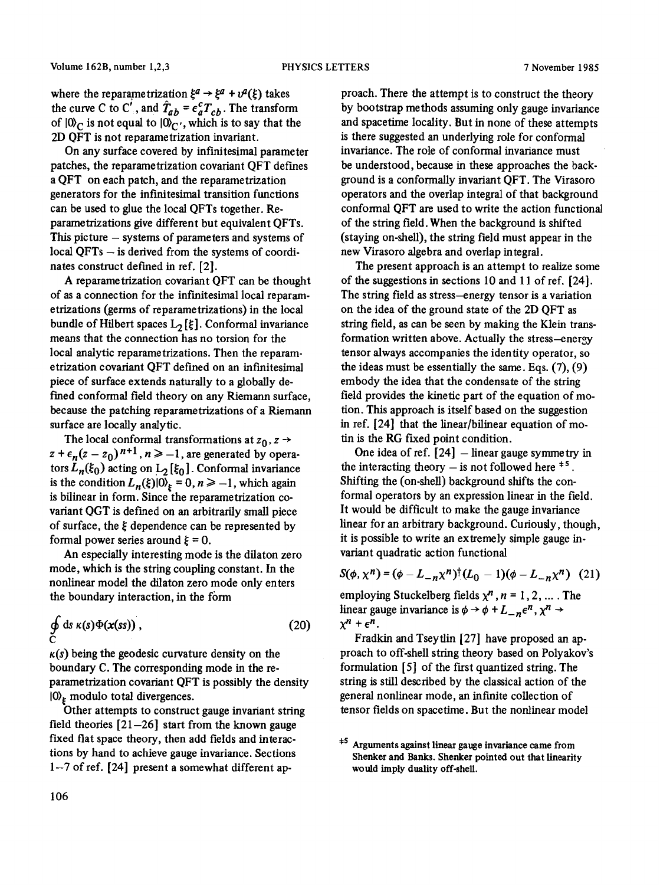where the reparametrization  $\xi^a \rightarrow \xi^a + v^a(\xi)$  takes the curve C to C', and  $T_{ab} = \epsilon_a^c T_{cb}$ . The transform of  $|0\rangle$ <sub>C</sub> is not equal to  $|0\rangle$ <sub>C</sub>, which is to say that the 2D QFT is not reparametrization invariant.

On any surface covered by infinitesimal parameter patches, the reparametrization covariant QFT deffmes a QFT on each patch, and the reparametrization generators for the infinitesimal transition functions can be used to glue the local QFTs together. Reparametrizations give different but equivalent QFTs. This picture  $-$  systems of parameters and systems of local QFTs - is derived from the systems of coordinates construct defined in ref. [2].

A reparametrization covariant QFT can be thought of as a connection for the infinitesimal local reparametrizations (germs of reparametrizations) in the local bundle of Hilbert spaces  $L_2[\xi]$ . Conformal invariance means that the connection has no torsion for the local analytic reparametrizations. Then the reparametrization covariant QFT defined on an infinitesimal piece of surface extends naturally to a globally defined conformal field theory on any Riemann surface, because the patching reparametrizations of a Riemann surface are locally analytic.

The local conformal transformations at  $z_0$ ,  $z \rightarrow$  $z + \epsilon_n(z - z_0)^{n+1}$ ,  $n \ge -1$ , are generated by operators  $L_n(\xi_0)$  acting on  $L_2$  [ $\xi_0$ ]. Conformal invariance is the condition  $L_n(\xi)|0\rangle_\xi = 0, n \ge -1$ , which again is bilinear in form. Since the reparametrization covariant QGT is defined on an arbitrarily small piece of surface, the  $\xi$  dependence can be represented by formal power series around  $\xi = 0$ .

An especially interesting mode is the dilaton zero mode, which is the string coupling constant. In the nonlinear model the dilaton zero mode only enters the boundary interaction, in the form

$$
\oint_{C} ds \kappa(s) \Phi(x(ss)), \qquad (20)
$$

 $k(s)$  being the geodesic curvature density on the boundary C. The corresponding mode in the reparametrization covariant QFT is possibly the density  $|0\rangle$ <sub>k</sub> modulo total divergences.

Other attempts to construct gauge invariant string field theories  $[21-26]$  start from the known gauge Fixed flat space theory, then add fields and interactions by hand to achieve gauge invariance. Sections **1-7** of ref. [24] present a somewhat different ap-

proach. There the attempt is to construct the theory by bootstrap methods assuming only gauge invariance and spacetime locality. But in none of these attempts is there suggested an underlying role for conformal invariance. The role of conformal invariance must be understood, because in these approaches the background is a conformally invariant QFT. The Virasoro operators and the overlap integral of that background conformal QFT are used to write the action functional of the string field. When the background is shifted (staying on-shell), the string field must appear in the new Virasoro algebra and overlap integral.

The present approach is an attempt to realize some of the suggestions in sections 10 and 11 of ref.  $[24]$ . The string field as stress-energy tensor is a variation on the idea of the ground state of the 2D QFT as string field, as can be seen by making the Klein transformation written above. Actually the stress-energy tensor always accompanies the identity operator, so the ideas must be essentially the same. Eqs. (7), (9) embody the idea that the condensate of the string field provides the kinetic part of the equation of motion. This approach is itself based on the suggestion in ref. [24] that the linear/bilinear equation of motin is the RG fixed point condition.

One idea of ref.  $[24]$  - linear gauge symmetry in the interacting theory  $-$  is not followed here  $*$ <sup>5</sup>. Shifting the (on-shell) background shifts the conformal operators by an expression linear in the field. It would be difficult to make the gauge invariance linear for an arbitrary background. Curiously, though, it is possible to write an extremely simple gauge in. variant quadratic action functional

$$
S(\phi, \chi^n) = (\phi - L_{-n} \chi^n)^{\dagger} (L_0 - 1) (\phi - L_{-n} \chi^n) \tag{21}
$$

employing Stuckelberg fields  $\chi^n$ ,  $n = 1, 2, ...$ . The linear gauge invariance is  $\phi \rightarrow \phi + L_{-n} \epsilon^{n}$ ,  $\chi^{n} \rightarrow$  $\chi^n + \epsilon^n$ .

Fradkin and Tseytlin [27] have proposed an approach to off-shell string theory based on Polyakov's formulation [5] of the first quantized string. The string is still described by the classical action of the general nonlinear mode, an infinite collection of tensor fields on spacetime. But the nonlinear model

<sup>&</sup>lt;sup>#5</sup> Arguments against linear gauge invariance came from Shenker and Banks. Shenker pointed out that linearity would imply duality off-shell.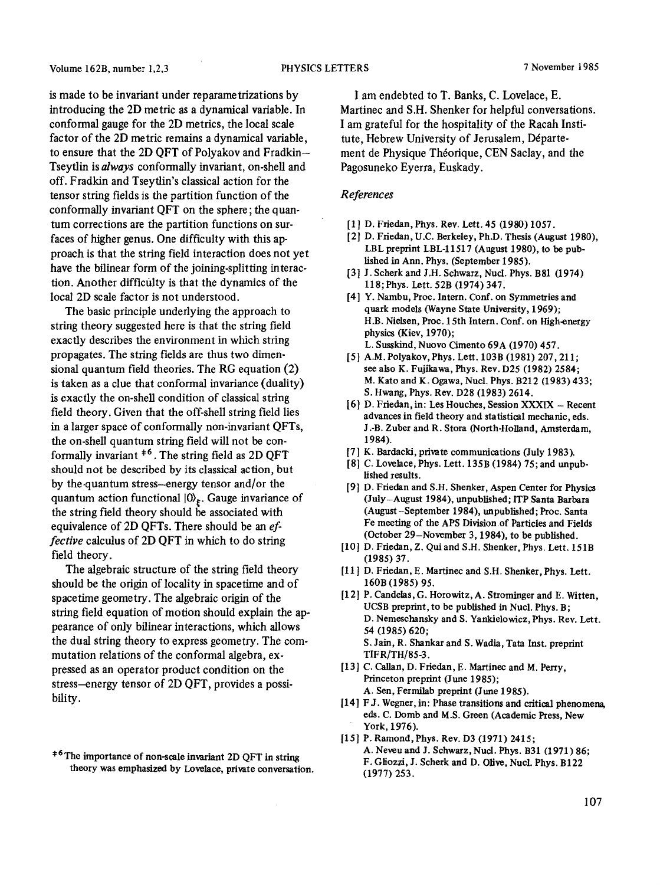is made to be invariant under reparametrizations by introducing the 2D metric as a dynamical variable. In conformal gauge for the 2D metrics, the local scale factor of the 2D metric remains a dynamical variable, to ensure that the 2D QFT of Polyakov and Fradkin-Tseytlin is *always* conformally invariant, on-shell and off. Fradkin and Tseytlin's classical action for the tensor string felds is the partition function of the conformally invariant QFT on the sphere; the quantum corrections are the partition functions on surfaces of higher genus. One difficulty with this approach is that the string field interaction does not yet have the bilinear form of the joining-splitting interaction. Another difficulty is that the dynamics of the local 2D scale factor is not understood.

The basic principle underlying the approach to string theory suggested here is that the string field exactly describes the environment in which string propagates. The string fields are thus two dimensional quantum field theories. The RG equation (2) is taken as a clue that conformal invariance (duality) is exactly the on-shell condition of classical string field theory. Given that the off-shell string field lies in a larger space of conformally non-invariant QFTs, the on-shell quantum string field will not be conformally invariant  $*$ <sup>6</sup>. The string field as 2D QFT should not be described by its classical action, but by the.quantum stress-energy tensor and/or the quantum action functional  $|0\rangle_{\xi}$ . Gauge invariance of the string field theory should be associated with equivalence of 2D QFTs. There should be an *effective* calculus of 2D QFT in which to do string field theory.

The algebraic structure of the string field theory should be the origin of locality in spacetime and of spacetime geometry. The algebraic origin of the string field equation of motion should explain the appearance of only bilinear interactions, which allows the dual string theory to express geometry. The commutation relations of the conformal algebra, expressed as an operator product condition on the stress--energy tensor of 2D QFT, provides a possibility.

I am endebted to T. Banks, C. Lovelace, E. Martinec and S.H. Shenker for helpful conversations. I am grateful for the hospitality of the Racah Institute, Hebrew University of Jerusalem, Département de Physique Théorique, CEN Saclay, and the Pagosuneko Eyerra, Euskady.

## *References*

- [1] D. Friedan, Phys. Rev. Lett. 45 (1980) 1057.
- [2] D. Friedan, U.C. Berkeley, Ph.D. Thesis (August 1980), LBL preprint LBL-11517 (August 1980), to be published in Ann. Phys. (September 1985).
- [3] J. Seherk and J.H. Schwarz, Nuel. Phys. B81 (1974) I18; Phys. Lett. 52B (1974) 347.
- [4] Y. Nambu, Proc. Intern. Conf. on Symmetries and quark models (Wayne State University, 1969); H.B. Nielsen, Proc. 15th Intern. Conf. on High-energy physics (Kiev, 1970); L. Susskind, Nuovo Cimento 69A (1970) 457.
- [5] A.M. Polyakov, Phys. Lett. 103B (1981) 207, 211; see also K. Fujikawa, Phys. Rev. D25 (1982) 2584; M. Kate and K. Ogawa, Nuel. Phys. B212 (1983) 433; S. Hwang, Phys. Rev. D28 (1983) 2614.
- [6] D. Friedan, in: Les Houches, Session XXXIX Recent advances in field theory and statistical mechanic, eds. J .-B. Zuber and R. Stora (North-Holland, Amsterdam, 1984).
- [7] K. Bardacki, private communications (July 1983).
- [8] C. Lovelaee, Phys. Lett. 135B (1984) 75; and unpublished results.
- [9] D. Friedan and S.H. Shenker, Aspen Center for Physics (July-August 1984), unpublished; ITP Santa Barbara (August -September 1984), unpublished; Proc. Santa Fe meeting of the APS Division of Particles and Fields (October 29-November 3, 1984), to be published.
- [10] D. Friedan, Z. Qui and S.H. Shenker, Phys. Lett. 151B (1985) 37.
- [11] D. Friedan, E. Martinec and S.H. Shenker, Phys. Lett. 160B (1985) 95.
- [12] P. Candelas, G. Horowitz, A. Strominger and E. Witten, UCSB preprint, to be published in Nuel. Phys. B; D. Nemesehansky and S. Yankielowicz, Phys. Rev. Lett. 54 (1985) 620; S. Jain, R. Shankar and S. Wadia, Tata Inst. preprint TIFR/TH/85-3.
- [13] C. Callan, D. Friedan, E. Martinee and M. Perry, Princeton preprint (June 1985); A. Sen, Fermilab preprint (June 1985).
- [14] FJ. Wegner, in: Phase transitions and critical phenomena, eds. C. Domb and M.S. Green (Academic Press, New York, 1976).
- [15] P. Ramond, Phys. Rev. D3 (1971) 2415; A. Neveu and J. Schwarz, Nucl. Phys. B31 (1971) 86; F. Gliozzi, J. Seherk and D. Olive, Nuel. Phys. B122 (1977) 253.

<sup>&</sup>lt;sup>+6</sup>The importance of non-scale invariant 2D QFT in string theory was emphasized by Lovelace, private conversation.